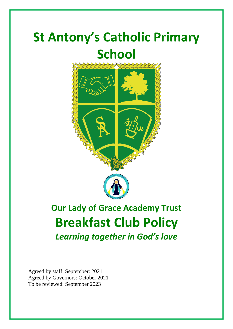# **St Antony's Catholic Primary School**



# **Our Lady of Grace Academy Trust Breakfast Club Policy** *Learning together in God's love*

Agreed by staff: September: 2021 Agreed by Governors: October 2021 To be reviewed: September 2023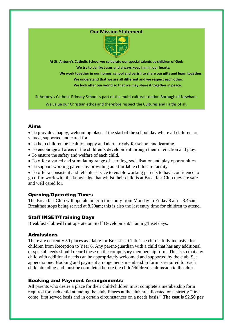# **Our Mission Statement**



**At St. Antony's Catholic School we celebrate our special talents as children of God: We try to be like Jesus and always keep him in our hearts.**

 **We work together in our homes, school and parish to share our gifts and learn together. We understand that we are all different and we respect each other. We look after our world so that we may share it together in peace.**

St Antony's Catholic Primary School is part of the multi-cultural London Borough of Newham.

We value our Christian ethos and therefore respect the Cultures and Faiths of all.

# Aims

• To provide a happy, welcoming place at the start of the school day where all children are valued, supported and cared for.

- To help children be healthy, happy and alert…ready for school and learning.
- To encourage all areas of the children's development through their interaction and play.
- To ensure the safety and welfare of each child.
- To offer a varied and stimulating range of learning, socialisation and play opportunities.
- To support working parents by providing an affordable childcare facility

• To offer a consistent and reliable service to enable working parents to have confidence to go off to work with the knowledge that whilst their child is at Breakfast Club they are safe and well cared for.

# Opening/Operating Times

The Breakfast Club will operate in term time only from Monday to Friday 8 am – 8.45am Breakfast stops being served at 8.30am; this is also the last entry time for children to attend.

# Staff INSET/Training Days

Breakfast club **will not** operate on Staff Development/Training/Inset days.

## Admissions

There are currently 50 places available for Breakfast Club. The club is fully inclusive for children from Reception to Year 6. Any parent/guardian with a child that has any additional or special needs should record these on the compulsory membership form. This is so that any child with additional needs can be appropriately welcomed and supported by the club. See appendix one. Booking and payment arrangements membership form is required for each child attending and must be completed before the child/children's admission to the club.

## Booking and Payment Arrangements:

All parents who desire a place for their child/children must complete a membership form required for each child attending the club. Places at the club are allocated on a strictly "first come, first served basis and in certain circumstances on a needs basis." **The cost is £2.50 per**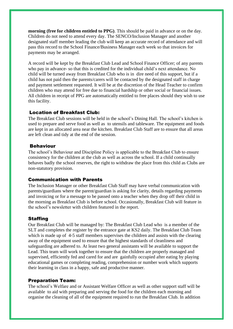**morning (free for children entitled to PPG)**. This should be paid in advance or on the day. Children do not need to attend every day. The SENCO/Inclusion Manager and another designated staff member leading the club will keep an accurate record of attendance and will pass this record to the School Finance/Business Manager each week so that invoices for payments may be arranged.

A record will be kept by the Breakfast Club Lead and School Finance Officer; of any parents who pay in advance- so that this is credited for the individual child's next attendance. No child will be turned away from Breakfast Club who is in dire need of this support, but if a child has not paid then the parents/carers will be contacted by the designated staff in charge and payment settlement requested. It will be at the discretion of the Head Teacher to confirm children who may attend for free due to financial hardship or other social or financial issues. All children in receipt of PPG are automatically entitled to free places should they wish to use this facility.

# Location of Breakfast Club:

The Breakfast Club sessions will be held in the school's Dining Hall. The school's kitchen is used to prepare and serve food as well as to utensils and tableware. The equipment and foods are kept in an allocated area near the kitchen. Breakfast Club Staff are to ensure that all areas are left clean and tidy at the end of the session.

#### Behaviour

The school's Behaviour and Discipline Policy is applicable to the Breakfast Club to ensure consistency for the children at the club as well as across the school. If a child continually behaves badly the school reserves, the right to withdraw the place from this child as Clubs are non-statutory provision.

#### Communication with Parents

The Inclusion Manager or other Breakfast Club Staff may have verbal communication with parents/guardians where the parent/guardian is asking for clarity, details regarding payments and invoicing or for a message to be passed onto a teacher when they drop off their child in the morning as Breakfast Club is before school. Occasionally, Breakfast Club will feature in the school's newsletter with children featured in the report.

## **Staffing**

Our Breakfast Club will be managed by: The Breakfast Club Lead who is a member of the SLT and completes the register by the entrance gate at KS2 daily. The Breakfast Club Team which is made up of 4-5 staff members supervises the children and assists with the clearing away of the equipment used to ensure that the highest standards of cleanliness and safeguarding are adhered to. At least two general assistants will be available to support the Lead. This team will work together to ensure that the children are properly managed and supervised, efficiently fed and cared for and are gainfully occupied after eating by playing educational games or completing reading, comprehension or number work which supports their learning in class in a happy, safe and productive manner.

#### Preparation Team:

The school's Welfare and or Assistant Welfare Officer as well as other support staff will be available to aid with preparing and serving the food for the children each morning and organise the cleaning of all of the equipment required to run the Breakfast Club. In addition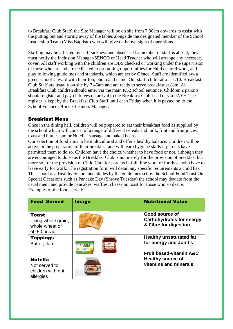to Breakfast Club Staff, the Site Manager will be on site from 7.00am onwards to assist with the putting out and storing away of the tables alongside the designated member of the School Leadership Team (Miss Baptiste) who will give daily oversight of operations.

Staffing may be affected by staff sickness and absence. If a member of staff is absent, they must notify the Inclusion Manager/SENCO or Head Teacher who will arrange any necessary cover. All staff working with the children are DBS checked or working under the supervision of those who are and are dedicated to promoting opportunities for child centred work, and play following guidelines and standards, which are set by Ofsted. Staff are identified by- a green school lanyard with their fob, photo and name. Our staff: child ratio is 1:10. Breakfast Club Staff are usually on site by 7.45am and are ready to serve breakfast at 8am. All Breakfast Club children should enter via the main KS2 school entrance. Children's parents should register and pay club fees on arrival to the Breakfast Club Lead or via PAY+. The register is kept by the Breakfast Club Staff until each Friday when it is passed on to the School Finance Officer/Business Manager.

#### Breakfast Menu

Once in the dining hall, children will be prepared to eat their breakfast food as supplied by the school which will consist of a range of different cereals and milk, fruit and fruit juices, toast and butter, jam or Nutella, sausage and baked beans.

Our selection of food aims to be multicultural and offer a healthy balance. Children will be active in the preparation of their breakfast and will learn hygiene skills if parents have permitted them to do so. Children have the choice whether to have food or not, although they are encouraged to do so as the Breakfast Club is not merely for the provision of breakfast but more so, for the provision of Child Care for parents in full time work or for those who have to leave early for work. The registration form will detail any specific requirements a child has. The school is a Healthy School and abides by the guidelines set by the School Food Trust On Special Occasions such as Pancake Day (Shrove Tuesday) the school may deviate from the usual menu and provide pancakes, waffles, cheese on toast for those who so desire. Examples of the food served:

| <b>Food Served</b>                                                  | <b>Image</b>                  | <b>Nutritional Value</b>                                                                       |
|---------------------------------------------------------------------|-------------------------------|------------------------------------------------------------------------------------------------|
| <b>Toast</b><br>Using whole grain,<br>whole wheat or<br>50:50 bread |                               | Good source of<br><b>Carbohydrates for energy</b><br>& Fibre for digestion                     |
| <b>Toppings</b><br>Butter, Jam                                      | wwas<br>mgwyn<br><b>FLORA</b> | <b>Healthy unsaturated fat</b><br>for energy and Joint s<br><b>Fruit based-vitamin A&amp;C</b> |
| <b>Nutella</b><br>Not served to<br>children with nut<br>allergies   |                               | <b>Healthy source of</b><br>vitamins and minerals                                              |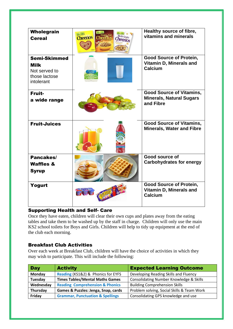| Wholegrain<br><b>Cereal</b>                                                        | Honey, Nut<br>Multi-Grain<br><b>Cheerios</b><br><b>Theeri</b> r<br>Cheerios | Healthy source of fibre,<br>vitamins and minerals                               |
|------------------------------------------------------------------------------------|-----------------------------------------------------------------------------|---------------------------------------------------------------------------------|
| <b>Semi-Skimmed</b><br><b>Milk</b><br>Not served to<br>those lactose<br>intolerant |                                                                             | <b>Good Source of Protein,</b><br>Vitamin D, Minerals and<br>Calcium            |
| Fruit-<br>a wide range                                                             |                                                                             | <b>Good Source of Vitamins,</b><br><b>Minerals, Natural Sugars</b><br>and Fibre |
| <b>Fruit-Juices</b>                                                                |                                                                             | <b>Good Source of Vitamins,</b><br><b>Minerals, Water and Fibre</b>             |
| Pancakes/<br><b>Waffles &amp;</b><br><b>Syrup</b>                                  |                                                                             | Good source of<br><b>Carbohydrates for energy</b>                               |
| Yogurt                                                                             |                                                                             | <b>Good Source of Protein,</b><br>Vitamin D, Minerals and<br>Calcium            |

# Supporting Health and Self- Care

Once they have eaten, children will clear their own cups and plates away from the eating tables and take them to be washed up by the staff in charge. Children will only use the main KS2 school toilets for Boys and Girls. Children will help to tidy up equipment at the end of the club each morning.

# Breakfast Club Activities

Over each week at Breakfast Club, children will have the choice of activities in which they may wish to participate. This will include the following:

| <b>Day</b> | <b>Activity</b>                             | <b>Expected Learning Outcome</b>           |
|------------|---------------------------------------------|--------------------------------------------|
| Monday     | Reading (KS1&2) & Phonics for EYFS          | Developing Reading Skills and Fluency      |
| Tuesday    | <b>Times Tables/Mental Maths Games</b>      | Consolidating Number Knowledge & Skills    |
| Wednesday  | <b>Reading Comprehension &amp; Phonics</b>  | <b>Building Comprehension Skills</b>       |
| Thursday   | Games & Puzzles: Jenga, Snap, cards         | Problem solving, Social Skills & Team Work |
| Friday     | <b>Grammar, Punctuation &amp; Spellings</b> | Consolidating GPS knowledge and use        |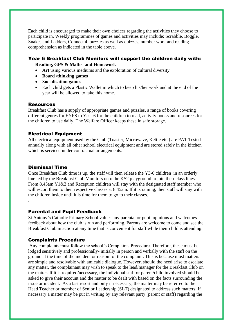Each child is encouraged to make their own choices regarding the activities they choose to participate in. Weekly programmes of games and activities may include: Scrabble, Boggle, Snakes and Ladders, Connect 4, puzzles as well as quizzes, number work and reading comprehension as indicated in the table above.

#### Year 6 Breakfast Club Monitors will support the children daily with: **Reading, GPS & Maths and Homework**

- **Art** using various mediums and the exploration of cultural diversity
- **Board /thinking games**
- S**ocialisation games**
- Each child gets a Plastic Wallet in which to keep his/her work and at the end of the year will be allowed to take this home.

#### Resources

Breakfast Club has a supply of appropriate games and puzzles, a range of books covering different genres for EYFS to Year 6 for the children to read, activity books and resources for the children to use daily. The Welfare Officer keeps these in safe storage.

# Electrical Equipment

All electrical equipment used by the Club (Toaster, Microwave, Kettle etc.) are PAT Tested annually along with all other school electrical equipment and are stored safely in the kitchen which is serviced under contractual arrangements.

# Dismissal Time

.

Once Breakfast Club time is up, the staff will then release the Y3-6 children in an orderly line led by the Breakfast Club Monitors onto the KS2 playground to join their class lines. From 8.45am Y1&2 and Reception children will stay with the designated staff member who will escort them to their respective classes at 8.45am. If it is raining, then staff will stay with the children inside until it is time for them to go to their classes.

## Parental and Pupil Feedback

St Antony's Catholic Primary School values any parental or pupil opinions and welcomes feedback about how the club is run and performing. Parents are welcome to come and see the Breakfast Club in action at any time that is convenient for staff while their child is attending.

## Complaints Procedure

Any complaints must follow the school's Complaints Procedure. Therefore, these must be lodged sensitively and professionally- initially in person and verbally with the staff on the ground at the time of the incident or reason for the complaint. This is because most matters are simple and resolvable with amicable dialogue. However, should the need arise to escalate any matter, the complainant may wish to speak to the lead/manager for the Breakfast Club on the matter. If it is required/necessary, the individual staff or parent/child involved should be asked to give their account and the matter to be dealt with based on the facts surrounding the issue or incident. As a last resort and only if necessary, the matter may be referred to the Head Teacher or member of Senior Leadership (SLT) designated to address such matters. If necessary a matter may be put in writing by any relevant party (parent or staff) regarding the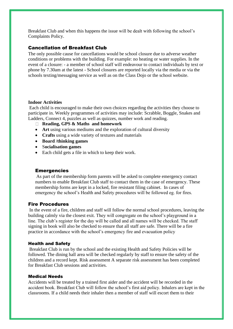Breakfast Club and when this happens the issue will be dealt with following the school's Complaints Policy.

#### Cancellation of Breakfast Club

The only possible cause for cancellations would be school closure due to adverse weather conditions or problems with the building. For example: no heating or water supplies. In the event of a closure: - a member of school staff will endeavour to contact individuals by text or phone by 7.30am at the latest - School closures are reported locally via the media or via the schools texting/messaging service as well as on the Class Dojo or the school website.

#### **Indoor Activities**

Each child is encouraged to make their own choices regarding the activities they choose to participate in. Weekly programmes of activities may include: Scrabble, Boggle, Snakes and Ladders, Connect 4, puzzles as well as quizzes, number work and reading.

- **Reading, GPS & Maths and homework**
- **Art** using various mediums and the exploration of cultural diversity
- **Crafts** using a wide variety of textures and materials
- **Board /thinking games**
- S**ocialisation games**
- Each child gets a file in which to keep their work.

#### **Emergencies**

As part of the membership form parents will be asked to complete emergency contact numbers to enable Breakfast Club staff to contact them in the case of emergency. These membership forms are kept in a locked, fire resistant filing cabinet. In cases of emergency the school's Health and Safety procedures will be followed eg. for fires.

#### Fire Procedures

In the event of a fire, children and staff will follow the normal school procedures, leaving the building calmly via the closest exit. They will congregate on the school's playground in a line. The club's register for the day will be called and all names will be checked. The staff signing in book will also be checked to ensure that all staff are safe. There will be a fire practice in accordance with the school's emergency fire and evacuation policy

#### Health and Safety

Breakfast Club is run by the school and the existing Health and Safety Policies will be followed. The dining hall area will be checked regularly by staff to ensure the safety of the children and a record kept. Risk assessment A separate risk assessment has been completed for Breakfast Club sessions and activities.

#### Medical Needs

Accidents will be treated by a trained first aider and the accident will be recorded in the accident book. Breakfast Club will follow the school's first aid policy. Inhalers are kept in the classrooms. If a child needs their inhaler then a member of staff will escort them to their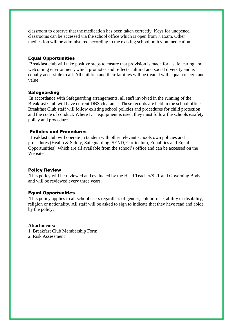classroom to observe that the medication has been taken correctly. Keys for unopened classrooms can be accessed via the school office which is open from 7.15am. Other medication will be administered according to the existing school policy on medication.

#### Equal Opportunities

Breakfast club will take positive steps to ensure that provision is made for a safe, caring and welcoming environment, which promotes and reflects cultural and social diversity and is equally accessible to all. All children and their families will be treated with equal concern and value.

#### **Safeguarding**

In accordance with Safeguarding arrangements, all staff involved in the running of the Breakfast Club will have current DBS clearance. These records are held in the school office. Breakfast Club staff will follow existing school policies and procedures for child protection and the code of conduct. Where ICT equipment is used, they must follow the schools e.safety policy and procedures.

#### Policies and Procedures

Breakfast club will operate in tandem with other relevant schools own policies and procedures (Health & Safety, Safeguarding, SEND, Curriculum, Equalities and Equal Opportunities) which are all available from the school's office and can be accessed on the Website.

#### Policy Review

This policy will be reviewed and evaluated by the Head Teacher/SLT and Governing Body and will be reviewed every three years.

#### Equal Opportunities

This policy applies to all school users regardless of gender, colour, race, ability or disability, religion or nationality. All staff will be asked to sign to indicate that they have read and abide by the policy.

#### **Attachments:**

- 1. Breakfast Club Membership Form
- 2. Risk Assessment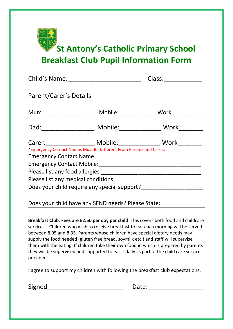

| Child's Name:                                                                                                                                                                                                                                                                                                                           |         | Class:                           |  |  |
|-----------------------------------------------------------------------------------------------------------------------------------------------------------------------------------------------------------------------------------------------------------------------------------------------------------------------------------------|---------|----------------------------------|--|--|
| Parent/Carer's Details                                                                                                                                                                                                                                                                                                                  |         |                                  |  |  |
| Mum                                                                                                                                                                                                                                                                                                                                     |         | Mobile: Work                     |  |  |
|                                                                                                                                                                                                                                                                                                                                         | Mobile: | Work<br>$\overline{\phantom{a}}$ |  |  |
| <b>Example 19 Mobile:</b> Mobile:<br>Work<br>Carer:<br>*Emergency Contact Names Must Be Different From Parents and Carers<br>Emergency Contact Mobile: Manual Manual Manual Manual Manual Manual Manual Manual Manual Manual Manual Manual<br>Please list any medical conditions:<br><u> 1989 - John Stein, Amerikaansk politiker (</u> |         |                                  |  |  |
| Does your child require any special support?                                                                                                                                                                                                                                                                                            |         |                                  |  |  |

# Does your child have any SEND needs? Please State:

**Breakfast Club**: **Fees are £2.50 per day per child**. This covers both food and childcare services. Children who wish to receive breakfast to eat each morning will be served between 8.05 and 8:35. Parents whose children have special dietary needs may supply the food needed (gluten free bread, soymilk etc.) and staff will supervise them with the eating. If children take their own food in which is prepared by parents they will be supervised and supported to eat it daily as part of the child care service provided.

I agree to support my children with following the breakfast club expectations.

Signed\_\_\_\_\_\_\_\_\_\_\_\_\_\_\_\_\_\_\_\_\_\_ Date:\_\_\_\_\_\_\_\_\_\_\_\_\_\_\_\_